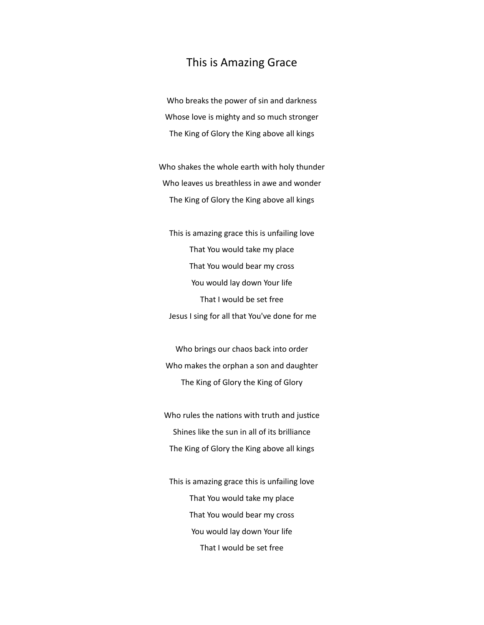## This is Amazing Grace

Who breaks the power of sin and darkness Whose love is mighty and so much stronger The King of Glory the King above all kings

Who shakes the whole earth with holy thunder Who leaves us breathless in awe and wonder The King of Glory the King above all kings

This is amazing grace this is unfailing love That You would take my place That You would bear my cross You would lay down Your life That I would be set free Jesus I sing for all that You've done for me

Who brings our chaos back into order Who makes the orphan a son and daughter The King of Glory the King of Glory

Who rules the nations with truth and justice Shines like the sun in all of its brilliance The King of Glory the King above all kings

This is amazing grace this is unfailing love That You would take my place That You would bear my cross You would lay down Your life That I would be set free